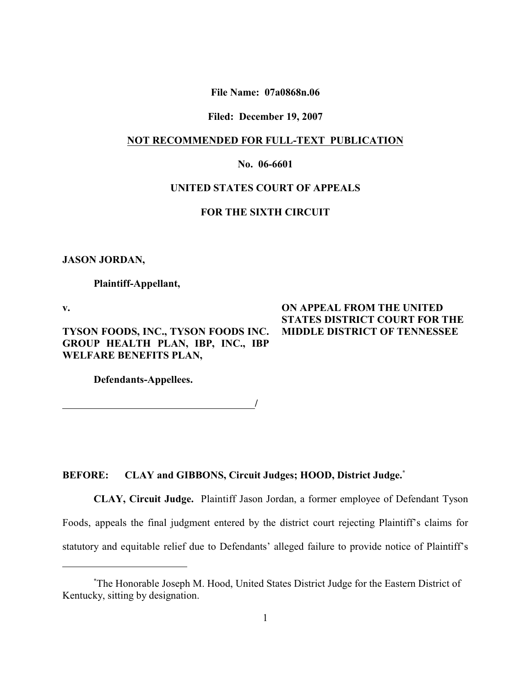**File Name: 07a0868n.06**

#### **Filed: December 19, 2007**

#### **NOT RECOMMENDED FOR FULL-TEXT PUBLICATION**

# **No. 06-6601**

# **UNITED STATES COURT OF APPEALS**

# **FOR THE SIXTH CIRCUIT**

**JASON JORDAN,**

**Plaintiff-Appellant,**

**v.**

**TYSON FOODS, INC., TYSON FOODS INC. GROUP HEALTH PLAN, IBP, INC., IBP WELFARE BENEFITS PLAN,**

# **ON APPEAL FROM THE UNITED STATES DISTRICT COURT FOR THE MIDDLE DISTRICT OF TENNESSEE**

**Defendants-Appellees.**

*<i>/ / <i>/ <i>/ / / / / / / /* 

# **BEFORE: CLAY and GIBBONS, Circuit Judges; HOOD, District Judge.\***

**CLAY, Circuit Judge.** Plaintiff Jason Jordan, a former employee of Defendant Tyson Foods, appeals the final judgment entered by the district court rejecting Plaintiff's claims for statutory and equitable relief due to Defendants' alleged failure to provide notice of Plaintiff's

The Honorable Joseph M. Hood, United States District Judge for the Eastern District of \* Kentucky, sitting by designation.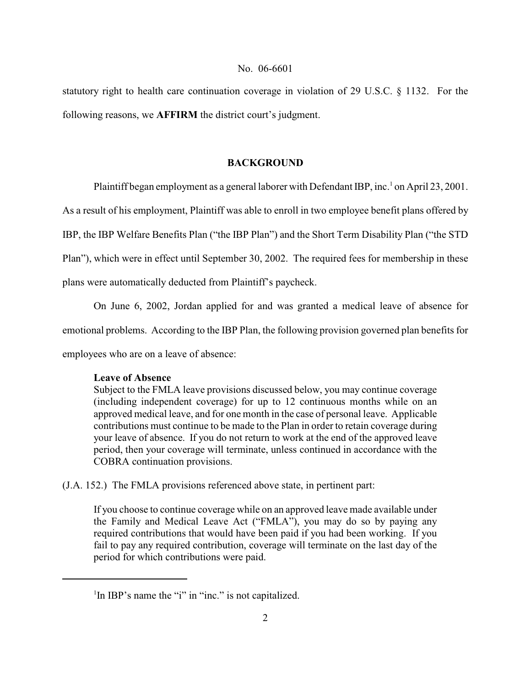statutory right to health care continuation coverage in violation of 29 U.S.C. § 1132. For the following reasons, we **AFFIRM** the district court's judgment.

# **BACKGROUND**

Plaintiff began employment as a general laborer with Defendant IBP, inc.  $\frac{1}{1}$  on April 23, 2001.

As a result of his employment, Plaintiff was able to enroll in two employee benefit plans offered by

IBP, the IBP Welfare Benefits Plan ("the IBP Plan") and the Short Term Disability Plan ("the STD

Plan"), which were in effect until September 30, 2002. The required fees for membership in these

plans were automatically deducted from Plaintiff's paycheck.

On June 6, 2002, Jordan applied for and was granted a medical leave of absence for

emotional problems. According to the IBP Plan, the following provision governed plan benefits for

employees who are on a leave of absence:

# **Leave of Absence**

Subject to the FMLA leave provisions discussed below, you may continue coverage (including independent coverage) for up to 12 continuous months while on an approved medical leave, and for one month in the case of personal leave. Applicable contributions must continue to be made to the Plan in order to retain coverage during your leave of absence. If you do not return to work at the end of the approved leave period, then your coverage will terminate, unless continued in accordance with the COBRA continuation provisions.

(J.A. 152.) The FMLA provisions referenced above state, in pertinent part:

If you choose to continue coverage while on an approved leave made available under the Family and Medical Leave Act ("FMLA"), you may do so by paying any required contributions that would have been paid if you had been working. If you fail to pay any required contribution, coverage will terminate on the last day of the period for which contributions were paid.

 $\mathrm{I}$ In IBP's name the "i" in "inc." is not capitalized.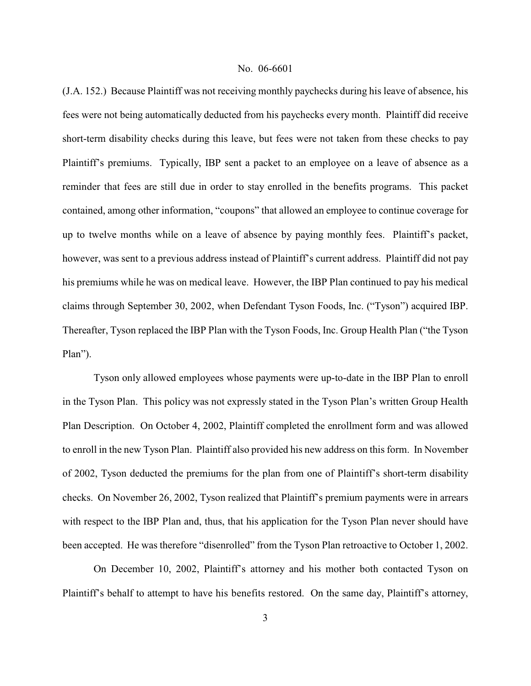(J.A. 152.) Because Plaintiff was not receiving monthly paychecks during his leave of absence, his fees were not being automatically deducted from his paychecks every month. Plaintiff did receive short-term disability checks during this leave, but fees were not taken from these checks to pay Plaintiff's premiums. Typically, IBP sent a packet to an employee on a leave of absence as a reminder that fees are still due in order to stay enrolled in the benefits programs. This packet contained, among other information, "coupons" that allowed an employee to continue coverage for up to twelve months while on a leave of absence by paying monthly fees. Plaintiff's packet, however, was sent to a previous address instead of Plaintiff's current address. Plaintiff did not pay his premiums while he was on medical leave. However, the IBP Plan continued to pay his medical claims through September 30, 2002, when Defendant Tyson Foods, Inc. ("Tyson") acquired IBP. Thereafter, Tyson replaced the IBP Plan with the Tyson Foods, Inc. Group Health Plan ("the Tyson Plan").

Tyson only allowed employees whose payments were up-to-date in the IBP Plan to enroll in the Tyson Plan. This policy was not expressly stated in the Tyson Plan's written Group Health Plan Description. On October 4, 2002, Plaintiff completed the enrollment form and was allowed to enroll in the new Tyson Plan. Plaintiff also provided his new address on this form. In November of 2002, Tyson deducted the premiums for the plan from one of Plaintiff's short-term disability checks. On November 26, 2002, Tyson realized that Plaintiff's premium payments were in arrears with respect to the IBP Plan and, thus, that his application for the Tyson Plan never should have been accepted. He was therefore "disenrolled" from the Tyson Plan retroactive to October 1, 2002.

On December 10, 2002, Plaintiff's attorney and his mother both contacted Tyson on Plaintiff's behalf to attempt to have his benefits restored. On the same day, Plaintiff's attorney,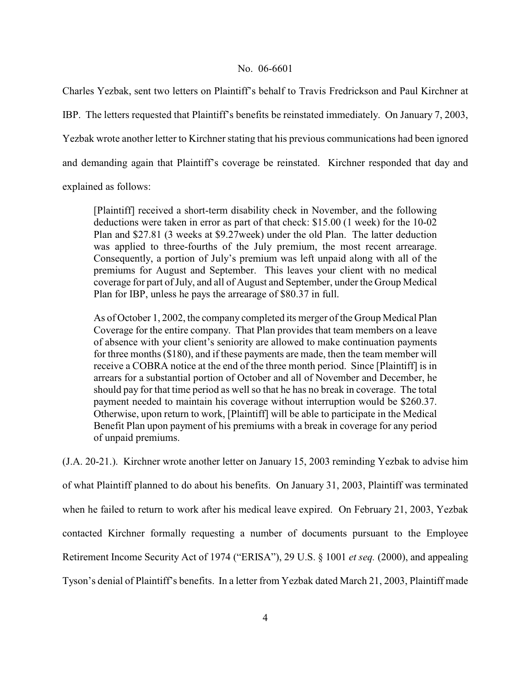Charles Yezbak, sent two letters on Plaintiff's behalf to Travis Fredrickson and Paul Kirchner at IBP. The letters requested that Plaintiff's benefits be reinstated immediately. On January 7, 2003, Yezbak wrote another letter to Kirchner stating that his previous communications had been ignored and demanding again that Plaintiff's coverage be reinstated. Kirchner responded that day and explained as follows:

[Plaintiff] received a short-term disability check in November, and the following deductions were taken in error as part of that check: \$15.00 (1 week) for the 10-02 Plan and \$27.81 (3 weeks at \$9.27week) under the old Plan. The latter deduction was applied to three-fourths of the July premium, the most recent arrearage. Consequently, a portion of July's premium was left unpaid along with all of the premiums for August and September. This leaves your client with no medical coverage for part of July, and all of August and September, under the Group Medical Plan for IBP, unless he pays the arrearage of \$80.37 in full.

As of October 1, 2002, the company completed its merger of the Group Medical Plan Coverage for the entire company. That Plan provides that team members on a leave of absence with your client's seniority are allowed to make continuation payments for three months(\$180), and if these payments are made, then the team member will receive a COBRA notice at the end of the three month period. Since [Plaintiff] is in arrears for a substantial portion of October and all of November and December, he should pay for that time period as well so that he has no break in coverage. The total payment needed to maintain his coverage without interruption would be \$260.37. Otherwise, upon return to work, [Plaintiff] will be able to participate in the Medical Benefit Plan upon payment of his premiums with a break in coverage for any period of unpaid premiums.

(J.A. 20-21.). Kirchner wrote another letter on January 15, 2003 reminding Yezbak to advise him of what Plaintiff planned to do about his benefits. On January 31, 2003, Plaintiff was terminated when he failed to return to work after his medical leave expired. On February 21, 2003, Yezbak contacted Kirchner formally requesting a number of documents pursuant to the Employee Retirement Income Security Act of 1974 ("ERISA"), 29 U.S. § 1001 *et seq.* (2000), and appealing Tyson's denial of Plaintiff's benefits. In a letter from Yezbak dated March 21, 2003, Plaintiff made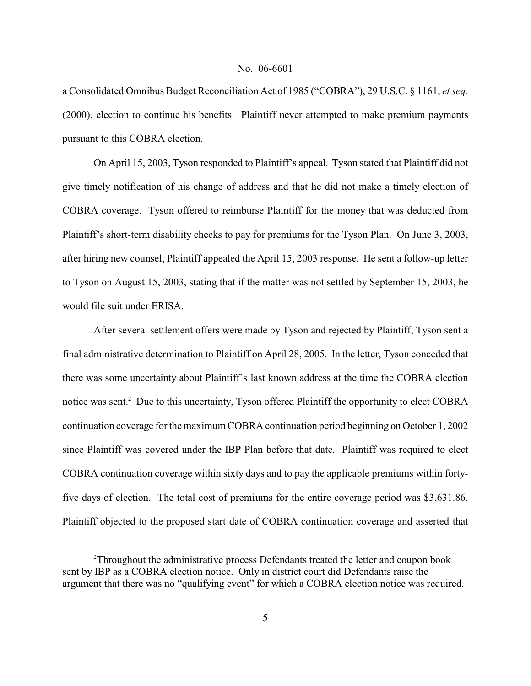a Consolidated Omnibus Budget Reconciliation Act of 1985 ("COBRA"), 29 U.S.C. § 1161, *et seq.* (2000), election to continue his benefits. Plaintiff never attempted to make premium payments pursuant to this COBRA election.

On April 15, 2003, Tyson responded to Plaintiff's appeal. Tyson stated that Plaintiff did not give timely notification of his change of address and that he did not make a timely election of COBRA coverage. Tyson offered to reimburse Plaintiff for the money that was deducted from Plaintiff's short-term disability checks to pay for premiums for the Tyson Plan. On June 3, 2003, after hiring new counsel, Plaintiff appealed the April 15, 2003 response. He sent a follow-up letter to Tyson on August 15, 2003, stating that if the matter was not settled by September 15, 2003, he would file suit under ERISA.

After several settlement offers were made by Tyson and rejected by Plaintiff, Tyson sent a final administrative determination to Plaintiff on April 28, 2005. In the letter, Tyson conceded that there was some uncertainty about Plaintiff's last known address at the time the COBRA election notice was sent.<sup>2</sup> Due to this uncertainty, Tyson offered Plaintiff the opportunity to elect COBRA continuation coverage for the maximum COBRA continuation period beginning on October 1, 2002 since Plaintiff was covered under the IBP Plan before that date. Plaintiff was required to elect COBRA continuation coverage within sixty days and to pay the applicable premiums within fortyfive days of election. The total cost of premiums for the entire coverage period was \$3,631.86. Plaintiff objected to the proposed start date of COBRA continuation coverage and asserted that

<sup>&</sup>lt;sup>2</sup>Throughout the administrative process Defendants treated the letter and coupon book sent by IBP as a COBRA election notice. Only in district court did Defendants raise the argument that there was no "qualifying event" for which a COBRA election notice was required.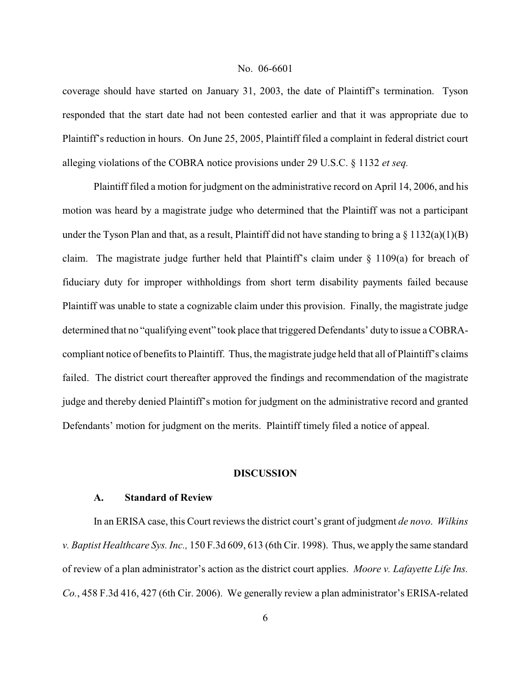coverage should have started on January 31, 2003, the date of Plaintiff's termination. Tyson responded that the start date had not been contested earlier and that it was appropriate due to Plaintiff's reduction in hours. On June 25, 2005, Plaintiff filed a complaint in federal district court alleging violations of the COBRA notice provisions under 29 U.S.C. § 1132 *et seq.*

Plaintiff filed a motion for judgment on the administrative record on April 14, 2006, and his motion was heard by a magistrate judge who determined that the Plaintiff was not a participant under the Tyson Plan and that, as a result, Plaintiff did not have standing to bring a  $\S 1132(a)(1)(B)$ claim. The magistrate judge further held that Plaintiff's claim under § 1109(a) for breach of fiduciary duty for improper withholdings from short term disability payments failed because Plaintiff was unable to state a cognizable claim under this provision. Finally, the magistrate judge determined that no "qualifying event" took place that triggered Defendants' duty to issue a COBRAcompliant notice of benefits to Plaintiff. Thus, the magistrate judge held that all of Plaintiff's claims failed. The district court thereafter approved the findings and recommendation of the magistrate judge and thereby denied Plaintiff's motion for judgment on the administrative record and granted Defendants' motion for judgment on the merits. Plaintiff timely filed a notice of appeal.

#### **DISCUSSION**

# **A. Standard of Review**

In an ERISA case, this Court reviews the district court's grant of judgment *de novo*. *Wilkins v. Baptist Healthcare Sys. Inc.,* 150 F.3d 609, 613 (6th Cir. 1998). Thus, we apply the same standard of review of a plan administrator's action as the district court applies. *Moore v. Lafayette Life Ins. Co.*, 458 F.3d 416, 427 (6th Cir. 2006). We generally review a plan administrator's ERISA-related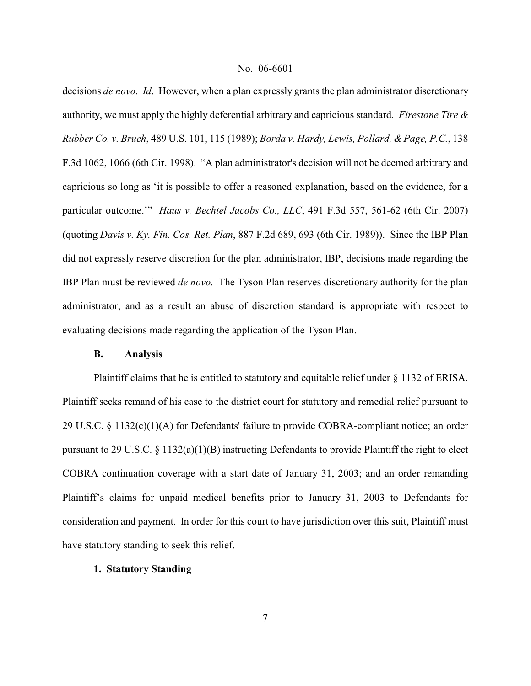decisions *de novo*. *Id*. However, when a plan expressly grants the plan administrator discretionary authority, we must apply the highly deferential arbitrary and capricious standard. *Firestone Tire & Rubber Co. v. Bruch*, 489 U.S. 101, 115 (1989); *Borda v. Hardy, Lewis, Pollard, & Page, P.C.*, 138 F.3d 1062, 1066 (6th Cir. 1998). "A plan administrator's decision will not be deemed arbitrary and capricious so long as 'it is possible to offer a reasoned explanation, based on the evidence, for a particular outcome.'" *Haus v. Bechtel Jacobs Co., LLC*, 491 F.3d 557, 561-62 (6th Cir. 2007) (quoting *Davis v. Ky. Fin. Cos. Ret. Plan*, 887 F.2d 689, 693 (6th Cir. 1989)). Since the IBP Plan did not expressly reserve discretion for the plan administrator, IBP, decisions made regarding the IBP Plan must be reviewed *de novo*. The Tyson Plan reserves discretionary authority for the plan administrator, and as a result an abuse of discretion standard is appropriate with respect to evaluating decisions made regarding the application of the Tyson Plan.

#### **B. Analysis**

Plaintiff claims that he is entitled to statutory and equitable relief under § 1132 of ERISA. Plaintiff seeks remand of his case to the district court for statutory and remedial relief pursuant to 29 U.S.C. § 1132(c)(1)(A) for Defendants' failure to provide COBRA-compliant notice; an order pursuant to 29 U.S.C. § 1132(a)(1)(B) instructing Defendants to provide Plaintiff the right to elect COBRA continuation coverage with a start date of January 31, 2003; and an order remanding Plaintiff's claims for unpaid medical benefits prior to January 31, 2003 to Defendants for consideration and payment. In order for this court to have jurisdiction over this suit, Plaintiff must have statutory standing to seek this relief.

# **1. Statutory Standing**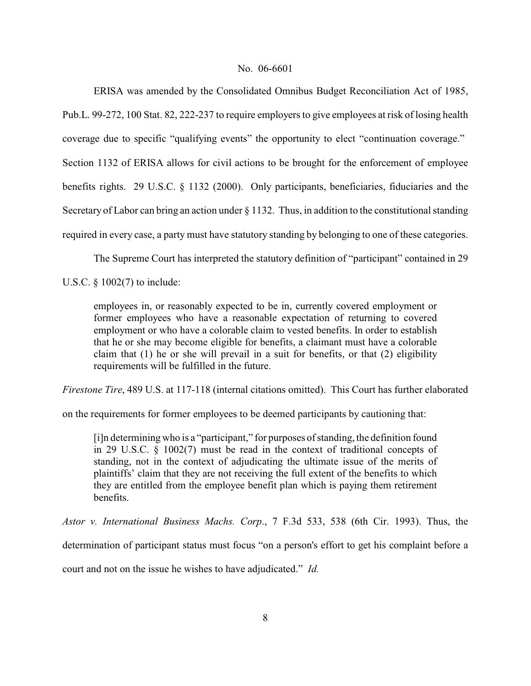ERISA was amended by the Consolidated Omnibus Budget Reconciliation Act of 1985, Pub.L. 99-272, 100 Stat. 82, 222-237 to require employers to give employees at risk of losing health

coverage due to specific "qualifying events" the opportunity to elect "continuation coverage."

Section 1132 of ERISA allows for civil actions to be brought for the enforcement of employee

benefits rights. 29 U.S.C. § 1132 (2000). Only participants, beneficiaries, fiduciaries and the

Secretary of Labor can bring an action under § 1132. Thus, in addition to the constitutional standing

required in every case, a party must have statutory standing by belonging to one of these categories.

The Supreme Court has interpreted the statutory definition of "participant" contained in 29

U.S.C. § 1002(7) to include:

employees in, or reasonably expected to be in, currently covered employment or former employees who have a reasonable expectation of returning to covered employment or who have a colorable claim to vested benefits. In order to establish that he or she may become eligible for benefits, a claimant must have a colorable claim that (1) he or she will prevail in a suit for benefits, or that (2) eligibility requirements will be fulfilled in the future.

*Firestone Tire*, 489 U.S. at 117-118 (internal citations omitted). This Court has further elaborated

on the requirements for former employees to be deemed participants by cautioning that:

[i]n determining who is a "participant," for purposes of standing, the definition found in 29 U.S.C. § 1002(7) must be read in the context of traditional concepts of standing, not in the context of adjudicating the ultimate issue of the merits of plaintiffs' claim that they are not receiving the full extent of the benefits to which they are entitled from the employee benefit plan which is paying them retirement benefits.

*Astor v. International Business Machs. Corp*., 7 F.3d 533, 538 (6th Cir. 1993). Thus, the

determination of participant status must focus "on a person's effort to get his complaint before a

court and not on the issue he wishes to have adjudicated." *Id.*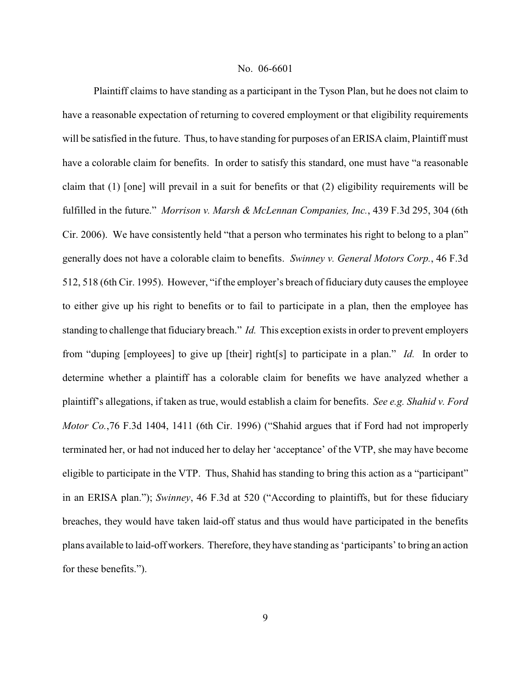Plaintiff claims to have standing as a participant in the Tyson Plan, but he does not claim to have a reasonable expectation of returning to covered employment or that eligibility requirements will be satisfied in the future. Thus, to have standing for purposes of an ERISA claim, Plaintiff must have a colorable claim for benefits. In order to satisfy this standard, one must have "a reasonable claim that (1) [one] will prevail in a suit for benefits or that (2) eligibility requirements will be fulfilled in the future." *Morrison v. Marsh & McLennan Companies, Inc.*, 439 F.3d 295, 304 (6th Cir. 2006). We have consistently held "that a person who terminates his right to belong to a plan" generally does not have a colorable claim to benefits. *Swinney v. General Motors Corp.*, 46 F.3d 512, 518 (6th Cir. 1995). However, "if the employer's breach of fiduciary duty causes the employee to either give up his right to benefits or to fail to participate in a plan, then the employee has standing to challenge that fiduciary breach." *Id.* This exception exists in order to prevent employers from "duping [employees] to give up [their] right[s] to participate in a plan." *Id.* In order to determine whether a plaintiff has a colorable claim for benefits we have analyzed whether a plaintiff's allegations, if taken as true, would establish a claim for benefits. *See e.g. Shahid v. Ford Motor Co.*,76 F.3d 1404, 1411 (6th Cir. 1996) ("Shahid argues that if Ford had not improperly terminated her, or had not induced her to delay her 'acceptance' of the VTP, she may have become eligible to participate in the VTP. Thus, Shahid has standing to bring this action as a "participant" in an ERISA plan."); *Swinney*, 46 F.3d at 520 ("According to plaintiffs, but for these fiduciary breaches, they would have taken laid-off status and thus would have participated in the benefits plans available to laid-off workers. Therefore, they have standing as 'participants' to bring an action for these benefits.").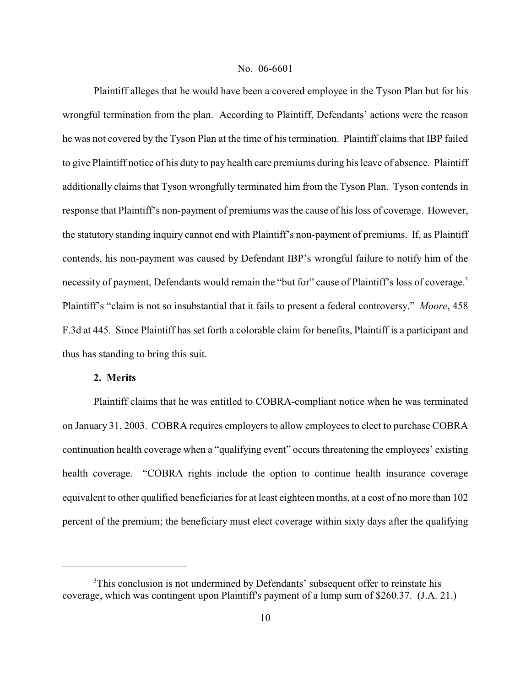Plaintiff alleges that he would have been a covered employee in the Tyson Plan but for his wrongful termination from the plan. According to Plaintiff, Defendants' actions were the reason he was not covered by the Tyson Plan at the time of his termination. Plaintiff claims that IBP failed to give Plaintiff notice of his duty to pay health care premiums during his leave of absence. Plaintiff additionally claims that Tyson wrongfully terminated him from the Tyson Plan. Tyson contends in response that Plaintiff's non-payment of premiums was the cause of his loss of coverage. However, the statutory standing inquiry cannot end with Plaintiff's non-payment of premiums. If, as Plaintiff contends, his non-payment was caused by Defendant IBP's wrongful failure to notify him of the necessity of payment, Defendants would remain the "but for" cause of Plaintiff's loss of coverage.<sup>3</sup> Plaintiff's "claim is not so insubstantial that it fails to present a federal controversy." *Moore*, 458 F.3d at 445. Since Plaintiff has set forth a colorable claim for benefits, Plaintiff is a participant and thus has standing to bring this suit.

# **2. Merits**

Plaintiff claims that he was entitled to COBRA-compliant notice when he was terminated on January 31, 2003. COBRA requires employers to allow employees to elect to purchase COBRA continuation health coverage when a "qualifying event" occurs threatening the employees' existing health coverage. "COBRA rights include the option to continue health insurance coverage equivalent to other qualified beneficiaries for at least eighteen months, at a cost of no more than 102 percent of the premium; the beneficiary must elect coverage within sixty days after the qualifying

<sup>&</sup>lt;sup>3</sup>This conclusion is not undermined by Defendants' subsequent offer to reinstate his coverage, which was contingent upon Plaintiff's payment of a lump sum of \$260.37. (J.A. 21.)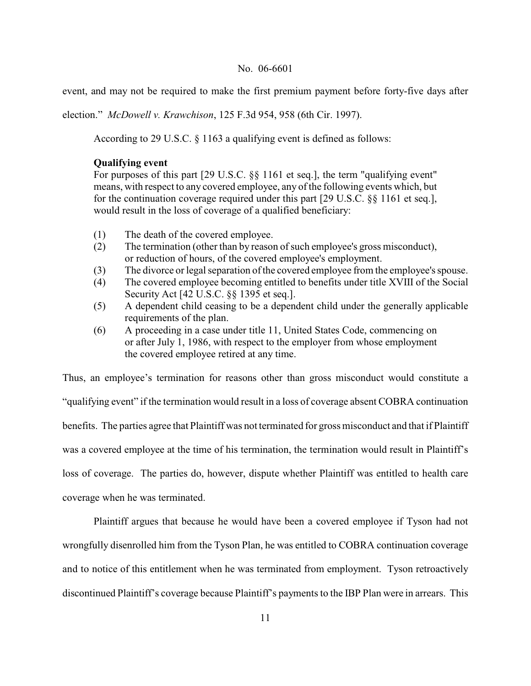event, and may not be required to make the first premium payment before forty-five days after

election." *McDowell v. Krawchison*, 125 F.3d 954, 958 (6th Cir. 1997).

According to 29 U.S.C. § 1163 a qualifying event is defined as follows:

#### **Qualifying event**

For purposes of this part [29 U.S.C. §§ 1161 et seq.], the term "qualifying event" means, with respect to any covered employee, any of the following events which, but for the continuation coverage required under this part [29 U.S.C. §§ 1161 et seq.], would result in the loss of coverage of a qualified beneficiary:

- (1) The death of the covered employee.
- (2) The termination (other than by reason of such employee's gross misconduct), or reduction of hours, of the covered employee's employment.
- (3) The divorce or legal separation of the covered employee from the employee's spouse.
- (4) The covered employee becoming entitled to benefits under title XVIII of the Social Security Act [42 U.S.C. §§ 1395 et seq.].
- (5) A dependent child ceasing to be a dependent child under the generally applicable requirements of the plan.
- (6) A proceeding in a case under title 11, United States Code, commencing on or after July 1, 1986, with respect to the employer from whose employment the covered employee retired at any time.

Thus, an employee's termination for reasons other than gross misconduct would constitute a "qualifying event" if the termination would result in a loss of coverage absent COBRA continuation benefits. The parties agree that Plaintiff was not terminated for gross misconduct and that if Plaintiff was a covered employee at the time of his termination, the termination would result in Plaintiff's loss of coverage. The parties do, however, dispute whether Plaintiff was entitled to health care coverage when he was terminated.

Plaintiff argues that because he would have been a covered employee if Tyson had not wrongfully disenrolled him from the Tyson Plan, he was entitled to COBRA continuation coverage and to notice of this entitlement when he was terminated from employment. Tyson retroactively discontinued Plaintiff's coverage because Plaintiff's paymentsto the IBP Plan were in arrears. This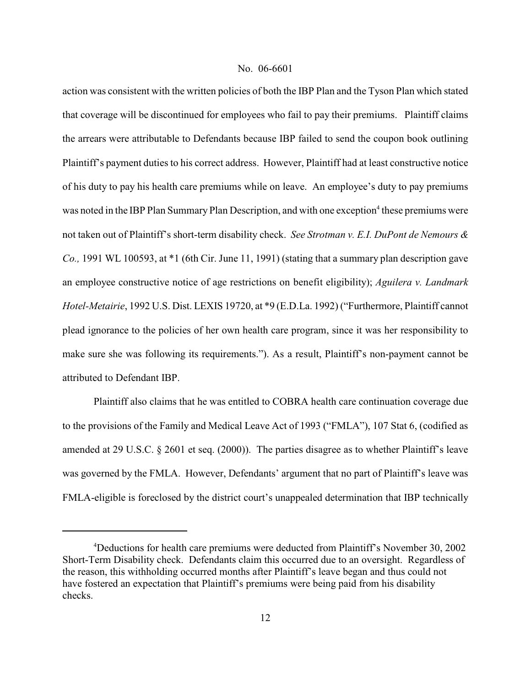action was consistent with the written policies of both the IBP Plan and the Tyson Plan which stated that coverage will be discontinued for employees who fail to pay their premiums. Plaintiff claims the arrears were attributable to Defendants because IBP failed to send the coupon book outlining Plaintiff's payment duties to his correct address. However, Plaintiff had at least constructive notice of his duty to pay his health care premiums while on leave. An employee's duty to pay premiums was noted in the IBP Plan Summary Plan Description, and with one exception<sup>4</sup> these premiums were not taken out of Plaintiff's short-term disability check. *See Strotman v. E.I. DuPont de Nemours & Co.,* 1991 WL 100593, at \*1 (6th Cir. June 11, 1991) (stating that a summary plan description gave an employee constructive notice of age restrictions on benefit eligibility); *Aguilera v. Landmark Hotel-Metairie*, 1992 U.S. Dist. LEXIS 19720, at \*9 (E.D.La. 1992) ("Furthermore, Plaintiff cannot plead ignorance to the policies of her own health care program, since it was her responsibility to make sure she was following its requirements."). As a result, Plaintiff's non-payment cannot be attributed to Defendant IBP.

Plaintiff also claims that he was entitled to COBRA health care continuation coverage due to the provisions of the Family and Medical Leave Act of 1993 ("FMLA"), 107 Stat 6, (codified as amended at 29 U.S.C. § 2601 et seq. (2000)). The parties disagree as to whether Plaintiff's leave was governed by the FMLA. However, Defendants' argument that no part of Plaintiff's leave was FMLA-eligible is foreclosed by the district court's unappealed determination that IBP technically

<sup>&</sup>lt;sup>4</sup>Deductions for health care premiums were deducted from Plaintiff's November 30, 2002 Short-Term Disability check. Defendants claim this occurred due to an oversight. Regardless of the reason, this withholding occurred months after Plaintiff's leave began and thus could not have fostered an expectation that Plaintiff's premiums were being paid from his disability checks.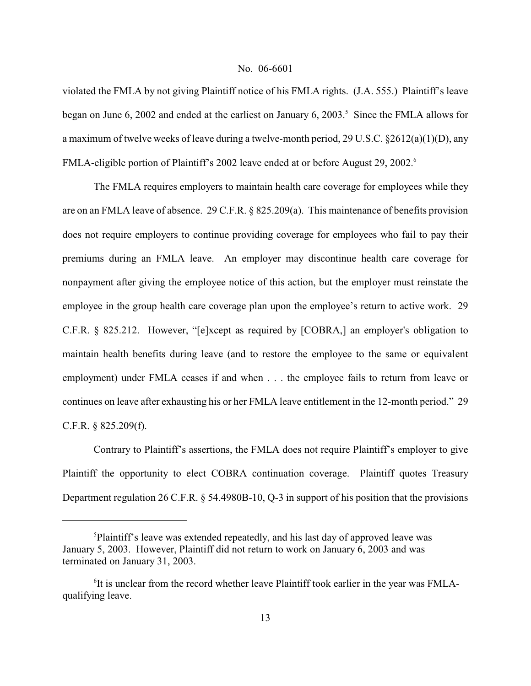violated the FMLA by not giving Plaintiff notice of his FMLA rights. (J.A. 555.) Plaintiff's leave began on June 6, 2002 and ended at the earliest on January 6, 2003.<sup>5</sup> Since the FMLA allows for a maximum of twelve weeks of leave during a twelve-month period, 29 U.S.C. §2612(a)(1)(D), any FMLA-eligible portion of Plaintiff's 2002 leave ended at or before August 29, 2002.<sup>6</sup>

The FMLA requires employers to maintain health care coverage for employees while they are on an FMLA leave of absence. 29 C.F.R. § 825.209(a). This maintenance of benefits provision does not require employers to continue providing coverage for employees who fail to pay their premiums during an FMLA leave. An employer may discontinue health care coverage for nonpayment after giving the employee notice of this action, but the employer must reinstate the employee in the group health care coverage plan upon the employee's return to active work. 29 C.F.R. § 825.212. However, "[e]xcept as required by [COBRA,] an employer's obligation to maintain health benefits during leave (and to restore the employee to the same or equivalent employment) under FMLA ceases if and when . . . the employee fails to return from leave or continues on leave after exhausting his or her FMLA leave entitlement in the 12-month period." 29 C.F.R. § 825.209(f).

Contrary to Plaintiff's assertions, the FMLA does not require Plaintiff's employer to give Plaintiff the opportunity to elect COBRA continuation coverage. Plaintiff quotes Treasury Department regulation 26 C.F.R. § 54.4980B-10, Q-3 in support of his position that the provisions

<sup>&</sup>lt;sup>5</sup>Plaintiff's leave was extended repeatedly, and his last day of approved leave was January 5, 2003. However, Plaintiff did not return to work on January 6, 2003 and was terminated on January 31, 2003.

<sup>&</sup>lt;sup>6</sup>It is unclear from the record whether leave Plaintiff took earlier in the year was FMLAqualifying leave.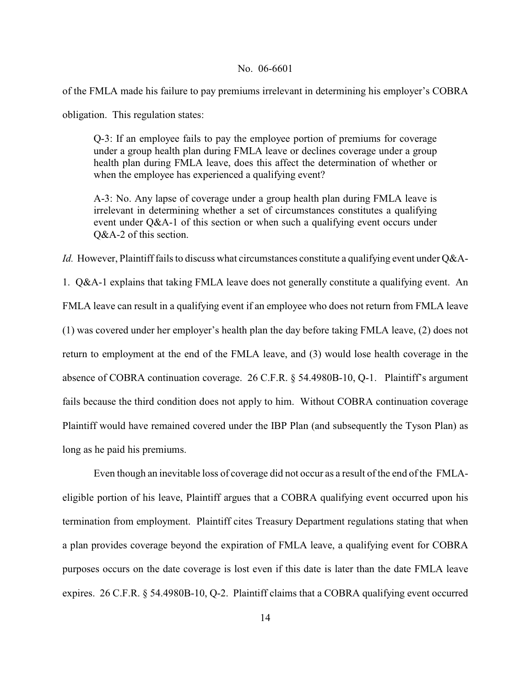of the FMLA made his failure to pay premiums irrelevant in determining his employer's COBRA

obligation. This regulation states:

Q-3: If an employee fails to pay the employee portion of premiums for coverage under a group health plan during FMLA leave or declines coverage under a group health plan during FMLA leave, does this affect the determination of whether or when the employee has experienced a qualifying event?

A-3: No. Any lapse of coverage under a group health plan during FMLA leave is irrelevant in determining whether a set of circumstances constitutes a qualifying event under Q&A-1 of this section or when such a qualifying event occurs under Q&A-2 of this section.

*Id.* However, Plaintiff fails to discuss what circumstances constitute a qualifying event under Q&A-

1. Q&A-1 explains that taking FMLA leave does not generally constitute a qualifying event. An FMLA leave can result in a qualifying event if an employee who does not return from FMLA leave (1) was covered under her employer's health plan the day before taking FMLA leave, (2) does not return to employment at the end of the FMLA leave, and (3) would lose health coverage in the absence of COBRA continuation coverage. 26 C.F.R. § 54.4980B-10, Q-1. Plaintiff's argument fails because the third condition does not apply to him. Without COBRA continuation coverage Plaintiff would have remained covered under the IBP Plan (and subsequently the Tyson Plan) as long as he paid his premiums.

Even though an inevitable loss of coverage did not occur as a result of the end of the FMLAeligible portion of his leave, Plaintiff argues that a COBRA qualifying event occurred upon his termination from employment. Plaintiff cites Treasury Department regulations stating that when a plan provides coverage beyond the expiration of FMLA leave, a qualifying event for COBRA purposes occurs on the date coverage is lost even if this date is later than the date FMLA leave expires. 26 C.F.R.  $\S$  54.4980B-10, Q-2. Plaintiff claims that a COBRA qualifying event occurred